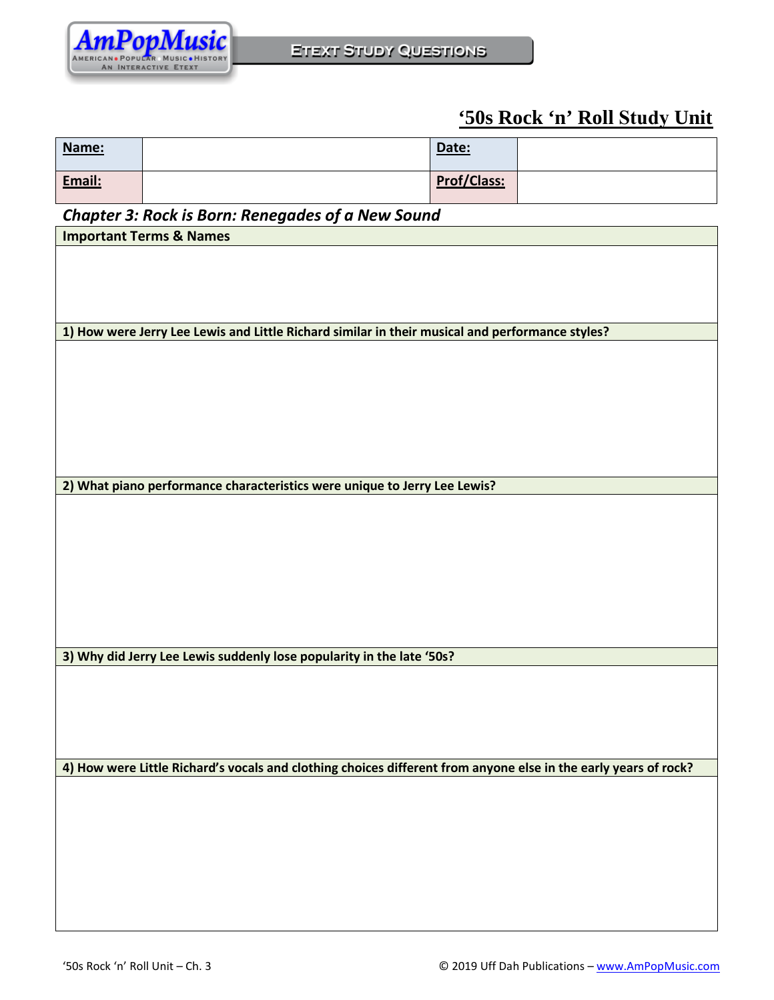

## **'50s Rock 'n' Roll Study Unit**

| Name:  | Date:       |  |
|--------|-------------|--|
| Email: | Prof/Class: |  |

## *Chapter 3: Rock is Born: Renegades of a New Sound*

| Chapter 3: Rock is Born: Renegades of a New Sound                                                               |  |  |  |
|-----------------------------------------------------------------------------------------------------------------|--|--|--|
| <b>Important Terms &amp; Names</b>                                                                              |  |  |  |
|                                                                                                                 |  |  |  |
|                                                                                                                 |  |  |  |
|                                                                                                                 |  |  |  |
|                                                                                                                 |  |  |  |
|                                                                                                                 |  |  |  |
| 1) How were Jerry Lee Lewis and Little Richard similar in their musical and performance styles?                 |  |  |  |
|                                                                                                                 |  |  |  |
|                                                                                                                 |  |  |  |
|                                                                                                                 |  |  |  |
|                                                                                                                 |  |  |  |
|                                                                                                                 |  |  |  |
|                                                                                                                 |  |  |  |
|                                                                                                                 |  |  |  |
|                                                                                                                 |  |  |  |
|                                                                                                                 |  |  |  |
| 2) What piano performance characteristics were unique to Jerry Lee Lewis?                                       |  |  |  |
|                                                                                                                 |  |  |  |
|                                                                                                                 |  |  |  |
|                                                                                                                 |  |  |  |
|                                                                                                                 |  |  |  |
|                                                                                                                 |  |  |  |
|                                                                                                                 |  |  |  |
|                                                                                                                 |  |  |  |
|                                                                                                                 |  |  |  |
|                                                                                                                 |  |  |  |
|                                                                                                                 |  |  |  |
| 3) Why did Jerry Lee Lewis suddenly lose popularity in the late '50s?                                           |  |  |  |
|                                                                                                                 |  |  |  |
|                                                                                                                 |  |  |  |
|                                                                                                                 |  |  |  |
|                                                                                                                 |  |  |  |
|                                                                                                                 |  |  |  |
|                                                                                                                 |  |  |  |
| 4) How were Little Richard's vocals and clothing choices different from anyone else in the early years of rock? |  |  |  |
|                                                                                                                 |  |  |  |
|                                                                                                                 |  |  |  |
|                                                                                                                 |  |  |  |
|                                                                                                                 |  |  |  |
|                                                                                                                 |  |  |  |
|                                                                                                                 |  |  |  |
|                                                                                                                 |  |  |  |
|                                                                                                                 |  |  |  |
|                                                                                                                 |  |  |  |
|                                                                                                                 |  |  |  |